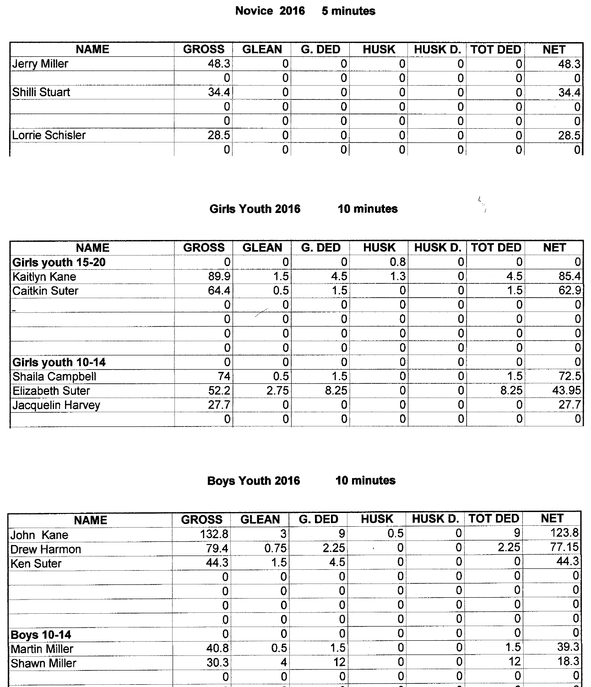# Novice 2016 5 minutes

| <b>NAME</b>          | <b>GROSS</b> | <b>GLEAN</b> | G. DED |  | HUSK HUSK D. TOT DED | <b>NET</b> |
|----------------------|--------------|--------------|--------|--|----------------------|------------|
| <b>IJerry Miller</b> | 48.3         |              |        |  |                      | 48.3I      |
|                      |              |              |        |  |                      |            |
| Shilli Stuart        | 34.4         |              |        |  |                      |            |
|                      |              |              |        |  |                      |            |
|                      |              |              |        |  |                      |            |
| Lorrie Schisler      | 28.5         |              |        |  |                      | 28.5       |
|                      |              |              |        |  |                      |            |

Girls Youth 2016

10 minutes

 $\frac{\xi_{\rm g}}{\eta}$ 

| <b>NAME</b>            | <b>GROSS</b>    | <b>GLEAN</b> | G. DED | <b>HUSK</b> | <b>HUSK D.</b> | <b>TOT DED</b> | <b>NET</b> |
|------------------------|-----------------|--------------|--------|-------------|----------------|----------------|------------|
| Girls youth 15-20      | 0               |              |        | 0.8         |                |                | 0          |
| Kaitlyn Kane           | 89.9            | 1.5          | 4.5    | 1.3         |                | 4.5            | 85.4       |
| <b>Caitkin Suter</b>   | 64.4            | 0.5          | 1.5    |             |                | 1.5            | 62.9       |
|                        | 0               | 0            | 0.     |             |                |                |            |
|                        | 0               |              |        | O           |                |                |            |
|                        | 0               |              | Ω.     |             |                |                |            |
|                        | 0               |              | O      |             |                |                |            |
| Girls youth 10-14      | 0               |              | ი      | n           |                |                |            |
| Shaila Campbell        | 74 <sub>1</sub> | 0.5          | 1.5    | n           |                | 1.5            | 72.5       |
| <b>Elizabeth Suter</b> | 52.2            | 2.75         | 8.25   | ი           |                | 8.25           | 43.95      |
| Jacquelin Harvey       | 27.7            | O.           | 0      | n           |                |                | 27.7       |
|                        | 0               |              |        |             |                |                | 0          |

**Boys Youth 2016** 

10 minutes

| <b>NAME</b>       | <b>GROSS</b> | <b>GLEAN</b> | G. DED | <b>HUSK</b> | HUSK D. TOT DED | <b>NET</b>   |
|-------------------|--------------|--------------|--------|-------------|-----------------|--------------|
| <b>John Kane</b>  | 132.8        |              |        | 0.5         | 9               | 123.8        |
| Drew Harmon       | 79.4         | 0.75         | 2.25   |             | 2.25            | 77.15        |
| Ken Suter         | 44.3         | 1.5          | 4.5    |             |                 | 44.3         |
|                   | 0            |              |        |             |                 | 0            |
|                   |              |              |        |             |                 | 0            |
|                   | 0            |              |        |             |                 | $\mathbf 0$  |
|                   | 0            |              |        |             |                 | $\mathbf{0}$ |
| <b>Boys 10-14</b> | Ω            |              |        |             |                 | 0            |
| Martin Miller     | 40.8         | 0,5          | 1.51   |             | 1.5             | 39.3         |
| İShawn Miller     | 30.3         |              | 12     |             | 12              | 18.3         |
|                   | 0            |              |        |             |                 | $\mathbf 0$  |
|                   |              |              |        |             |                 |              |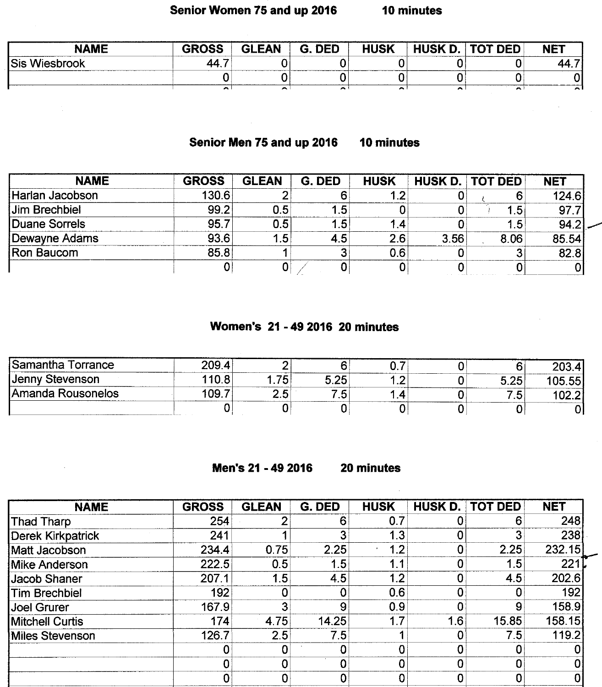#### Senior Women 75 and up 2016 10 minutes

| NAME       | $-$                      | E A M<br>æ | $-1$ |   | ---- | <b>TATAT</b><br>. .<br>------------------- | <br>17L |
|------------|--------------------------|------------|------|---|------|--------------------------------------------|---------|
| r.         | $\overline{\phantom{0}}$ |            |      |   |      |                                            |         |
|            |                          | .          |      |   |      |                                            |         |
| __________ |                          |            |      | - |      |                                            |         |

### Senior Men 75 and up 2016 10 minutes

| <b>NAME</b>          | <b>GROSS</b> | <b>GLEAN</b> | G. DED | <b>HUSK</b> |      | HUSK D. TOT DED | <b>NET</b> |
|----------------------|--------------|--------------|--------|-------------|------|-----------------|------------|
| Harlan Jacobson      | 130.6        |              |        |             |      |                 | 124.6      |
| <b>Jim Brechbiel</b> | 99.2         | 0.5          | 1.5    |             |      |                 | 97.7       |
| Duane Sorrels        | 95.7         | 0.5          | 1.5    | ∣.4         |      |                 | 94.2       |
| Dewayne Adams        | 93.6         |              | 4.5    | 2.6         | 3.56 | 8.06            | 85.54      |
| <b>Ron Baucom</b>    | 85.8         |              |        | 0.6         |      |                 | 82.8       |
|                      |              |              |        |             |      |                 |            |

# Women's 21 - 49 2016 20 minutes

| ISamantha<br><i>v</i> orrance | ാറവ പ    |     |     |   |      |  |
|-------------------------------|----------|-----|-----|---|------|--|
| Jenny Stevenson               | 10 R     | 7E. | 0E. | . | 5.25 |  |
| IAmanda Rousonelos            | 09<br>-- |     |     |   | ∴5⊺  |  |
|                               |          |     |     |   |      |  |

Men's 21 - 49 2016

20 minutes

| <b>NAME</b>          | <b>GROSS</b> | <b>GLEAN</b> | G. DED | <b>HUSK</b> | <b>HUSK D.</b>   | <b>TOT DED</b> | <b>NET</b> |
|----------------------|--------------|--------------|--------|-------------|------------------|----------------|------------|
| Thad Tharp           | 254          |              | 6      | 0.7         |                  | R              | 248        |
| Derek Kirkpatrick    | 241          |              |        | 1.3         |                  |                | 238        |
| Matt Jacobson        | 234.4        | 0.75         | 2.25   | 1.2         | 0                | 2.25           | 232.15     |
| Mike Anderson        | 222.5        | 0.5          | 1.5    | 1.1         | 0                | 1.5            | 221        |
| Jacob Shaner         | 207.1        | 1.5          | 4.5    | 1.2         | 0                | 4.5            | 202.6      |
| <b>Tim Brechbiel</b> | 192          |              |        | 0.6         | 0.               |                | 192        |
| Joel Grurer          | 167.9        |              | 9      | 0.9         | 0                | я              | 158.9      |
| Mitchell Curtis      | 174          | 4.75         | 14.25  | 1.7         | 1.6 <sub>1</sub> | 15.85          | 158.15     |
| Miles Stevenson      | 126.7        | 2.5          | 7.5    |             |                  | 7.5            | 119.2      |
|                      |              |              |        | 0           | 0                |                |            |
|                      |              | U            |        | 0           | 0                |                |            |
|                      |              | 0            |        | 0           | 0.               |                |            |